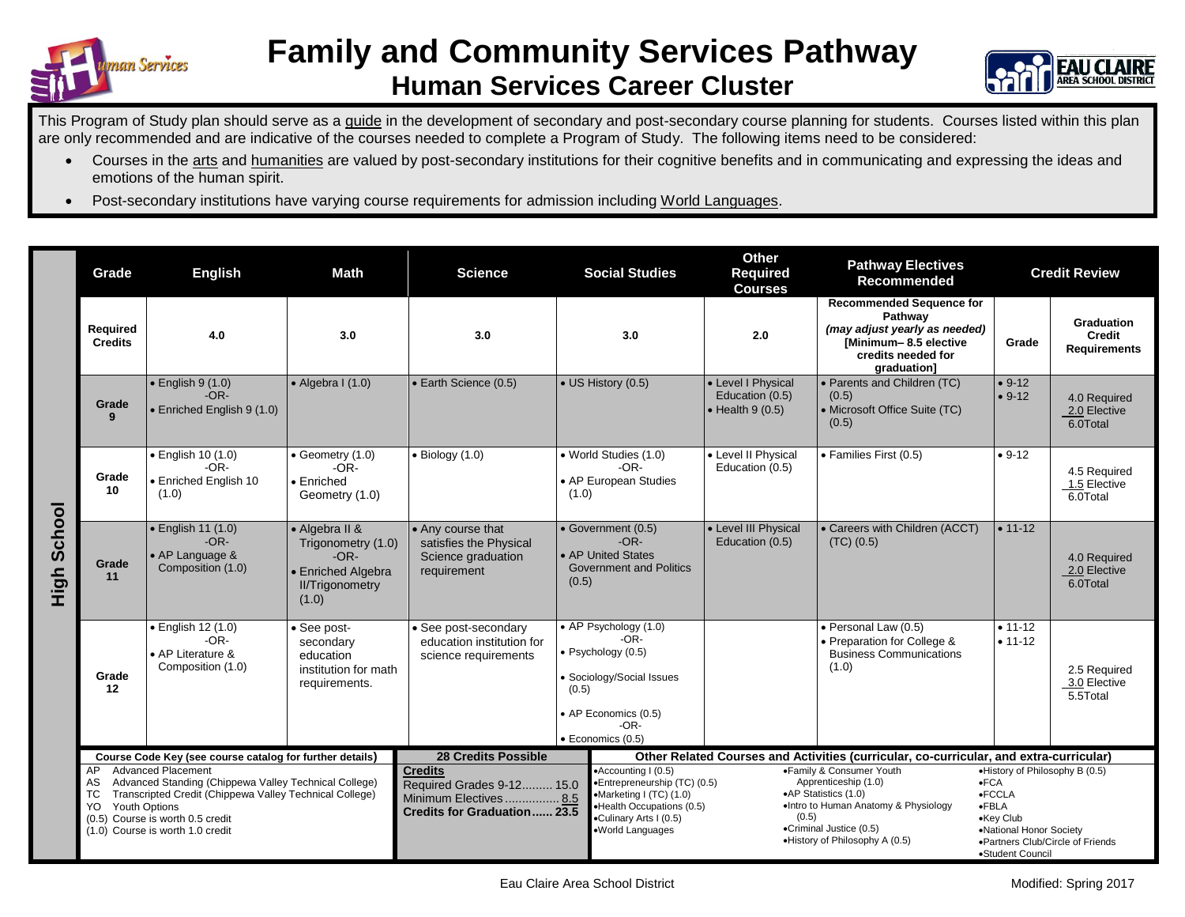



This Program of Study plan should serve as a guide in the development of secondary and post-secondary course planning for students. Courses listed within this plan are only recommended and are indicative of the courses needed to complete a Program of Study. The following items need to be considered:

- Courses in the arts and humanities are valued by post-secondary institutions for their cognitive benefits and in communicating and expressing the ideas and emotions of the human spirit.
- Post-secondary institutions have varying course requirements for admission including World Languages.

|                    | Grade                                                                                                                                                                                                                                                           | <b>English</b>                                                                 | <b>Math</b>                                                                                             | <b>Science</b>                                                                                             |       | <b>Social Studies</b>                                                                                                                                                                                                                                                     | Other<br>Required<br><b>Courses</b>                                                    | <b>Pathway Electives</b><br>Recommended                                                                                                   | <b>Credit Review</b>                                                                                                                                                          |                                                    |
|--------------------|-----------------------------------------------------------------------------------------------------------------------------------------------------------------------------------------------------------------------------------------------------------------|--------------------------------------------------------------------------------|---------------------------------------------------------------------------------------------------------|------------------------------------------------------------------------------------------------------------|-------|---------------------------------------------------------------------------------------------------------------------------------------------------------------------------------------------------------------------------------------------------------------------------|----------------------------------------------------------------------------------------|-------------------------------------------------------------------------------------------------------------------------------------------|-------------------------------------------------------------------------------------------------------------------------------------------------------------------------------|----------------------------------------------------|
|                    | Required<br><b>Credits</b>                                                                                                                                                                                                                                      | 4.0                                                                            | 3.0                                                                                                     | 3.0                                                                                                        |       | 3.0                                                                                                                                                                                                                                                                       | 2.0                                                                                    | <b>Recommended Sequence for</b><br>Pathway<br>(may adjust yearly as needed)<br>[Minimum-8.5 elective<br>credits needed for<br>graduation] | Grade                                                                                                                                                                         | <b>Graduation</b><br>Credit<br><b>Requirements</b> |
| <b>High School</b> | Grade<br>9                                                                                                                                                                                                                                                      | $\bullet$ English 9 (1.0)<br>$-OR-$<br>• Enriched English 9 (1.0)              | $\bullet$ Algebra I (1.0)                                                                               | • Earth Science (0.5)                                                                                      |       | • US History (0.5)                                                                                                                                                                                                                                                        | • Level I Physical<br>Education (0.5)<br>$\bullet$ Health 9 (0.5)                      | • Parents and Children (TC)<br>(0.5)<br>• Microsoft Office Suite (TC)<br>(0.5)                                                            | $• 9-12$<br>$• 9-12$                                                                                                                                                          | 4.0 Required<br>2.0 Elective<br>6.0Total           |
|                    | Grade<br>10                                                                                                                                                                                                                                                     | · English 10 (1.0)<br>$-OR-$<br>· Enriched English 10<br>(1.0)                 | • Geometry (1.0)<br>$-OR-$<br>• Enriched<br>Geometry (1.0)                                              | $\bullet$ Biology (1.0)                                                                                    | (1.0) | • World Studies (1.0)<br>$-OR-$<br>• AP European Studies                                                                                                                                                                                                                  | • Level II Physical<br>Education (0.5)                                                 | · Families First (0.5)                                                                                                                    | $• 9-12$                                                                                                                                                                      | 4.5 Required<br>1.5 Elective<br>6.0Total           |
|                    | Grade<br>11                                                                                                                                                                                                                                                     | $\bullet$ English 11 (1.0)<br>$-OR-$<br>• AP Language &<br>Composition (1.0)   | • Algebra II &<br>Trigonometry (1.0)<br>$-OR-$<br>• Enriched Algebra<br><b>II/Trigonometry</b><br>(1.0) | • Any course that<br>satisfies the Physical<br>Science graduation<br>requirement                           | (0.5) | • Government (0.5)<br>$-OR-$<br>• AP United States<br><b>Government and Politics</b>                                                                                                                                                                                      | • Level III Physical<br>Education (0.5)                                                | • Careers with Children (ACCT)<br>$(TC)$ $(0.5)$                                                                                          | $• 11-12$                                                                                                                                                                     | 4.0 Required<br>2.0 Elective<br>6.0Total           |
|                    | Grade<br>12                                                                                                                                                                                                                                                     | $\bullet$ English 12 (1.0)<br>$-OR-$<br>• AP Literature &<br>Composition (1.0) | • See post-<br>secondary<br>education<br>institution for math<br>requirements.                          | • See post-secondary<br>education institution for<br>science requirements                                  | (0.5) | • AP Psychology (1.0)<br>$-OR-$<br>· Psychology (0.5)<br>· Sociology/Social Issues<br>• AP Economics (0.5)<br>$-OR-$<br>$\bullet$ Economics (0.5)                                                                                                                         |                                                                                        | · Personal Law (0.5)<br>• Preparation for College &<br><b>Business Communications</b><br>(1.0)                                            | $• 11 - 12$<br>$• 11-12$                                                                                                                                                      | 2.5 Required<br>3.0 Elective<br>5.5Total           |
|                    | Course Code Key (see course catalog for further details)                                                                                                                                                                                                        |                                                                                |                                                                                                         | <b>28 Credits Possible</b>                                                                                 |       |                                                                                                                                                                                                                                                                           | Other Related Courses and Activities (curricular, co-curricular, and extra-curricular) |                                                                                                                                           |                                                                                                                                                                               |                                                    |
|                    | <b>Advanced Placement</b><br>AP<br>Advanced Standing (Chippewa Valley Technical College)<br>AS<br>Transcripted Credit (Chippewa Valley Technical College)<br>ТC<br>Youth Options<br>YO.<br>(0.5) Course is worth 0.5 credit<br>(1.0) Course is worth 1.0 credit |                                                                                |                                                                                                         | <b>Credits</b><br>Required Grades 9-12 15.0<br>Minimum Electives 8.5<br><b>Credits for Graduation 23.5</b> |       | •Accounting I (0.5)<br>•Family & Consumer Youth<br>•Entrepreneurship (TC) (0.5)<br>Apprenticeship (1.0)<br>•AP Statistics (1.0)<br>•Marketing I (TC) (1.0)<br>•Health Occupations (0.5)<br>(0.5)<br>•Culinary Arts I (0.5)<br>•Criminal Justice (0.5)<br>·World Languages |                                                                                        | •Intro to Human Anatomy & Physiology<br>•History of Philosophy A (0.5)                                                                    | •History of Philosophy B (0.5)<br>$-FCA$<br>$\bullet$ FCCLA<br>$\bullet$ FBLA<br>•Key Club<br>•National Honor Society<br>•Partners Club/Circle of Friends<br>•Student Council |                                                    |